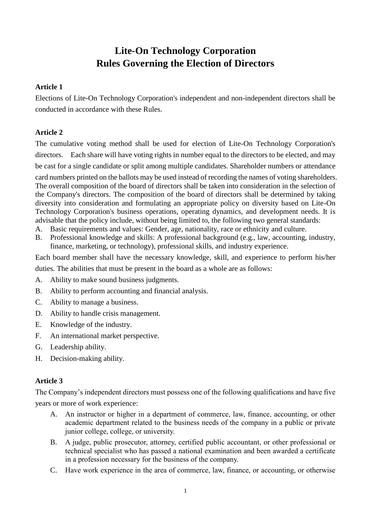# **Lite-On Technology Corporation Rules Governing the Election of Directors**

# **Article 1**

Elections of Lite-On Technology Corporation's independent and non-independent directors shall be conducted in accordance with these Rules.

# **Article 2**

The cumulative voting method shall be used for election of Lite-On Technology Corporation's directors. Each share will have voting rights in number equal to the directors to be elected, and may be cast for a single candidate or split among multiple candidates. Shareholder numbers or attendance

card numbers printed on the ballots may be used instead of recording the names of voting shareholders. The overall composition of the board of directors shall be taken into consideration in the selection of the Company's directors. The composition of the board of directors shall be determined by taking diversity into consideration and formulating an appropriate policy on diversity based on Lite-On Technology Corporation's business operations, operating dynamics, and development needs. It is advisable that the policy include, without being limited to, the following two general standards:

- A. Basic requirements and values: Gender, age, nationality, race or ethnicity and culture.
- B. Professional knowledge and skills: A professional background (e.g., law, accounting, industry, finance, marketing, or technology), professional skills, and industry experience.

Each board member shall have the necessary knowledge, skill, and experience to perform his/her duties. The abilities that must be present in the board as a whole are as follows:

- A. Ability to make sound business judgments.
- B. Ability to perform accounting and financial analysis.
- C. Ability to manage a business.
- D. Ability to handle crisis management.
- E. Knowledge of the industry.
- F. An international market perspective.
- G. Leadership ability.
- H. Decision-making ability.

## **Article 3**

The Company's independent directors must possess one of the following qualifications and have five years or more of work experience:

- A. An instructor or higher in a department of commerce, law, finance, accounting, or other academic department related to the business needs of the company in a public or private junior college, college, or university.
- B. A judge, public prosecutor, attorney, certified public accountant, or other professional or technical specialist who has passed a national examination and been awarded a certificate in a profession necessary for the business of the company.
- C. Have work experience in the area of commerce, law, finance, or accounting, or otherwise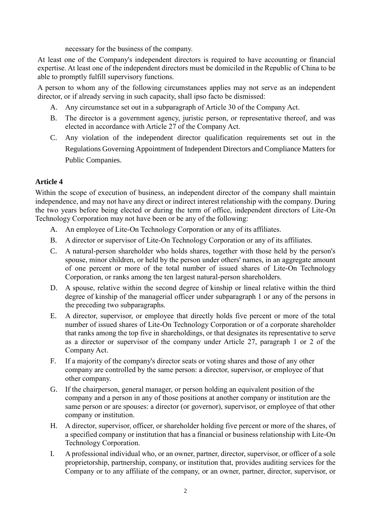necessary for the business of the company.

At least one of the Company's independent directors is required to have accounting or financial expertise. At least one of the independent directors must be domiciled in the Republic of China to be able to promptly fulfill supervisory functions.

A person to whom any of the following circumstances applies may not serve as an independent director, or if already serving in such capacity, shall ipso facto be dismissed:

- A. Any circumstance set out in a subparagraph of Article 30 of the Company Act.
- B. The director is a government agency, juristic person, or representative thereof, and was elected in accordance with Article 27 of the Company Act.
- C. Any violation of the independent director qualification requirements set out in the Regulations Governing Appointment of Independent Directors and Compliance Matters for Public Companies.

### **Article 4**

Within the scope of execution of business, an independent director of the company shall maintain independence, and may not have any direct or indirect interest relationship with the company. During the two years before being elected or during the term of office, independent directors of Lite-On Technology Corporation may not have been or be any of the following:

- A. An employee of Lite-On Technology Corporation or any of its affiliates.
- B. A director or supervisor of Lite-On Technology Corporation or any of its affiliates.
- C. A natural-person shareholder who holds shares, together with those held by the person's spouse, minor children, or held by the person under others' names, in an aggregate amount of one percent or more of the total number of issued shares of Lite-On Technology Corporation, or ranks among the ten largest natural-person shareholders.
- D. A spouse, relative within the second degree of kinship or lineal relative within the third degree of kinship of the managerial officer under subparagraph 1 or any of the persons in the preceding two subparagraphs.
- E. A director, supervisor, or employee that directly holds five percent or more of the total number of issued shares of Lite-On Technology Corporation or of a corporate shareholder that ranks among the top five in shareholdings, or that designates its representative to serve as a director or supervisor of the company under Article 27, paragraph 1 or 2 of the Company Act.
- F. If a majority of the company's director seats or voting shares and those of any other company are controlled by the same person: a director, supervisor, or employee of that other company.
- G. If the chairperson, general manager, or person holding an equivalent position of the company and a person in any of those positions at another company or institution are the same person or are spouses: a director (or governor), supervisor, or employee of that other company or institution.
- H. A director, supervisor, officer, or shareholder holding five percent or more of the shares, of a specified company or institution that has a financial or business relationship with Lite-On Technology Corporation.
- I. A professional individual who, or an owner, partner, director, supervisor, or officer of a sole proprietorship, partnership, company, or institution that, provides auditing services for the Company or to any affiliate of the company, or an owner, partner, director, supervisor, or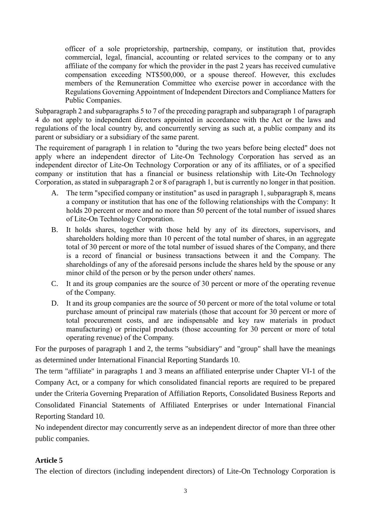officer of a sole proprietorship, partnership, company, or institution that, provides commercial, legal, financial, accounting or related services to the company or to any affiliate of the company for which the provider in the past 2 years has received cumulative compensation exceeding NT\$500,000, or a spouse thereof. However, this excludes members of the Remuneration Committee who exercise power in accordance with the Regulations Governing Appointment of Independent Directors and Compliance Matters for Public Companies.

Subparagraph 2 and subparagraphs 5 to 7 of the preceding paragraph and subparagraph 1 of paragraph 4 do not apply to independent directors appointed in accordance with the Act or the laws and regulations of the local country by, and concurrently serving as such at, a public company and its parent or subsidiary or a subsidiary of the same parent.

The requirement of paragraph 1 in relation to "during the two years before being elected" does not apply where an independent director of Lite-On Technology Corporation has served as an independent director of Lite-On Technology Corporation or any of its affiliates, or of a specified company or institution that has a financial or business relationship with Lite-On Technology Corporation, as stated in subparagraph 2 or 8 of paragraph 1, but is currently no longer in that position.

- A. The term "specified company or institution" as used in paragraph 1, subparagraph 8, means a company or institution that has one of the following relationships with the Company: It holds 20 percent or more and no more than 50 percent of the total number of issued shares of Lite-On Technology Corporation.
- B. It holds shares, together with those held by any of its directors, supervisors, and shareholders holding more than 10 percent of the total number of shares, in an aggregate total of 30 percent or more of the total number of issued shares of the Company, and there is a record of financial or business transactions between it and the Company. The shareholdings of any of the aforesaid persons include the shares held by the spouse or any minor child of the person or by the person under others' names.
- C. It and its group companies are the source of 30 percent or more of the operating revenue of the Company.
- D. It and its group companies are the source of 50 percent or more of the total volume or total purchase amount of principal raw materials (those that account for 30 percent or more of total procurement costs, and are indispensable and key raw materials in product manufacturing) or principal products (those accounting for 30 percent or more of total operating revenue) of the Company.

For the purposes of paragraph 1 and 2, the terms "subsidiary" and "group" shall have the meanings as determined under International Financial Reporting Standards 10.

The term "affiliate" in paragraphs 1 and 3 means an affiliated enterprise under Chapter VI-1 of the Company Act, or a company for which consolidated financial reports are required to be prepared under the Criteria Governing Preparation of Affiliation Reports, Consolidated Business Reports and Consolidated Financial Statements of Affiliated Enterprises or under International Financial Reporting Standard 10.

No independent director may concurrently serve as an independent director of more than three other public companies.

## **Article 5**

The election of directors (including independent directors) of Lite-On Technology Corporation is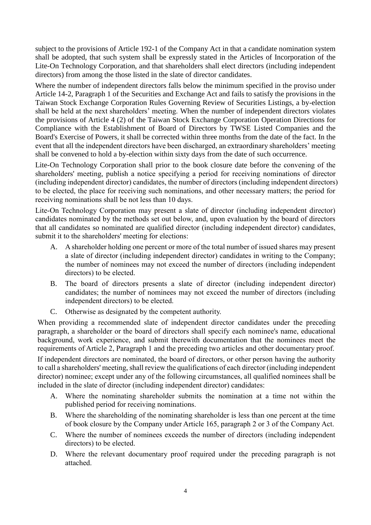subject to the provisions of Article 192-1 of the Company Act in that a candidate nomination system shall be adopted, that such system shall be expressly stated in the Articles of Incorporation of the Lite-On Technology Corporation, and that shareholders shall elect directors (including independent directors) from among the those listed in the slate of director candidates.

Where the number of independent directors falls below the minimum specified in the proviso under Article 14-2, Paragraph 1 of the Securities and Exchange Act and fails to satisfy the provisions in the Taiwan Stock Exchange Corporation Rules Governing Review of Securities Listings, a by-election shall be held at the next shareholders' meeting. When the number of independent directors violates the provisions of Article 4 (2) of the Taiwan Stock Exchange Corporation Operation Directions for Compliance with the Establishment of Board of Directors by TWSE Listed Companies and the Board's Exercise of Powers, it shall be corrected within three months from the date of the fact. In the event that all the independent directors have been discharged, an extraordinary shareholders' meeting shall be convened to hold a by-election within sixty days from the date of such occurrence.

Lite-On Technology Corporation shall prior to the book closure date before the convening of the shareholders' meeting, publish a notice specifying a period for receiving nominations of director (including independent director) candidates, the number of directors (including independent directors) to be elected, the place for receiving such nominations, and other necessary matters; the period for receiving nominations shall be not less than 10 days.

Lite-On Technology Corporation may present a slate of director (including independent director) candidates nominated by the methods set out below, and, upon evaluation by the board of directors that all candidates so nominated are qualified director (including independent director) candidates, submit it to the shareholders' meeting for elections:

- A. A shareholder holding one percent or more of the total number of issued shares may present a slate of director (including independent director) candidates in writing to the Company; the number of nominees may not exceed the number of directors (including independent directors) to be elected.
- B. The board of directors presents a slate of director (including independent director) candidates; the number of nominees may not exceed the number of directors (including independent directors) to be elected.
- C. Otherwise as designated by the competent authority.

When providing a recommended slate of independent director candidates under the preceding paragraph, a shareholder or the board of directors shall specify each nominee's name, educational background, work experience, and submit therewith documentation that the nominees meet the requirements of Article 2, Paragraph 1 and the preceding two articles and other documentary proof.

If independent directors are nominated, the board of directors, or other person having the authority to call a shareholders' meeting, shall review the qualifications of each director (including independent director) nominee; except under any of the following circumstances, all qualified nominees shall be included in the slate of director (including independent director) candidates:

- A. Where the nominating shareholder submits the nomination at a time not within the published period for receiving nominations.
- B. Where the shareholding of the nominating shareholder is less than one percent at the time of book closure by the Company under Article 165, paragraph 2 or 3 of the Company Act.
- C. Where the number of nominees exceeds the number of directors (including independent directors) to be elected.
- D. Where the relevant documentary proof required under the preceding paragraph is not attached.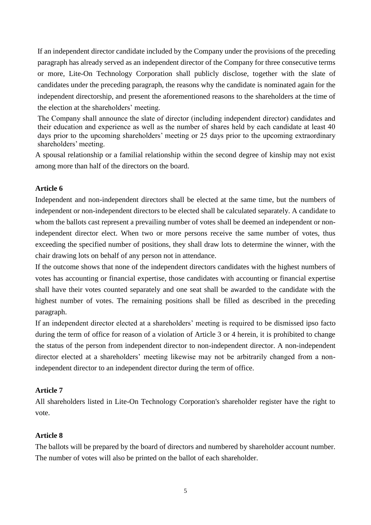If an independent director candidate included by the Company under the provisions of the preceding paragraph has already served as an independent director of the Company for three consecutive terms or more, Lite-On Technology Corporation shall publicly disclose, together with the slate of candidates under the preceding paragraph, the reasons why the candidate is nominated again for the independent directorship, and present the aforementioned reasons to the shareholders at the time of the election at the shareholders' meeting.

The Company shall announce the slate of director (including independent director) candidates and their education and experience as well as the number of shares held by each candidate at least 40 days prior to the upcoming shareholders' meeting or 25 days prior to the upcoming extraordinary shareholders' meeting.

A spousal relationship or a familial relationship within the second degree of kinship may not exist among more than half of the directors on the board.

## **Article 6**

Independent and non-independent directors shall be elected at the same time, but the numbers of independent or non-independent directors to be elected shall be calculated separately. A candidate to whom the ballots cast represent a prevailing number of votes shall be deemed an independent or nonindependent director elect. When two or more persons receive the same number of votes, thus exceeding the specified number of positions, they shall draw lots to determine the winner, with the chair drawing lots on behalf of any person not in attendance.

If the outcome shows that none of the independent directors candidates with the highest numbers of votes has accounting or financial expertise, those candidates with accounting or financial expertise shall have their votes counted separately and one seat shall be awarded to the candidate with the highest number of votes. The remaining positions shall be filled as described in the preceding paragraph.

If an independent director elected at a shareholders' meeting is required to be dismissed ipso facto during the term of office for reason of a violation of Article 3 or 4 herein, it is prohibited to change the status of the person from independent director to non-independent director. A non-independent director elected at a shareholders' meeting likewise may not be arbitrarily changed from a nonindependent director to an independent director during the term of office.

#### **Article 7**

All shareholders listed in Lite-On Technology Corporation's shareholder register have the right to vote.

#### **Article 8**

The ballots will be prepared by the board of directors and numbered by shareholder account number. The number of votes will also be printed on the ballot of each shareholder.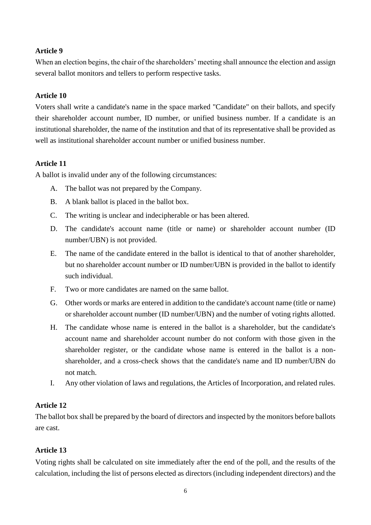## **Article 9**

When an election begins, the chair of the shareholders' meeting shall announce the election and assign several ballot monitors and tellers to perform respective tasks.

### **Article 10**

Voters shall write a candidate's name in the space marked "Candidate" on their ballots, and specify their shareholder account number, ID number, or unified business number. If a candidate is an institutional shareholder, the name of the institution and that of its representative shall be provided as well as institutional shareholder account number or unified business number.

### **Article 11**

A ballot is invalid under any of the following circumstances:

- A. The ballot was not prepared by the Company.
- B. A blank ballot is placed in the ballot box.
- C. The writing is unclear and indecipherable or has been altered.
- D. The candidate's account name (title or name) or shareholder account number (ID number/UBN) is not provided.
- E. The name of the candidate entered in the ballot is identical to that of another shareholder, but no shareholder account number or ID number/UBN is provided in the ballot to identify such individual.
- F. Two or more candidates are named on the same ballot.
- G. Other words or marks are entered in addition to the candidate's account name (title or name) or shareholder account number (ID number/UBN) and the number of voting rights allotted.
- H. The candidate whose name is entered in the ballot is a shareholder, but the candidate's account name and shareholder account number do not conform with those given in the shareholder register, or the candidate whose name is entered in the ballot is a nonshareholder, and a cross-check shows that the candidate's name and ID number/UBN do not match.
- I. Any other violation of laws and regulations, the Articles of Incorporation, and related rules.

#### **Article 12**

The ballot box shall be prepared by the board of directors and inspected by the monitors before ballots are cast.

## **Article 13**

Voting rights shall be calculated on site immediately after the end of the poll, and the results of the calculation, including the list of persons elected as directors (including independent directors) and the